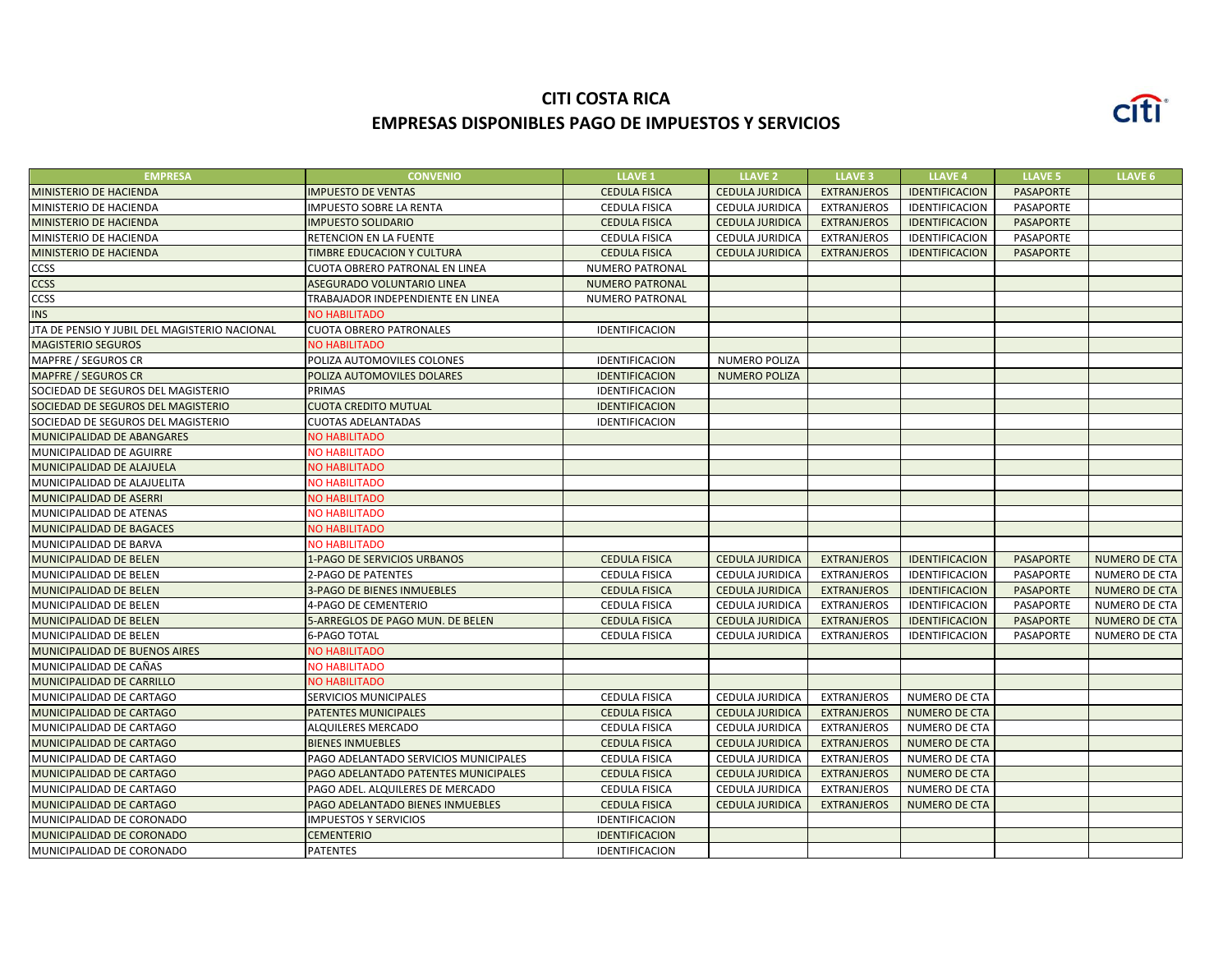## **CITI COSTA RICA EMPRESAS DISPONIBLES PAGO DE IMPUESTOS Y SERVICIOS**



| <b>EMPRESA</b>                                | <b>CONVENIO</b>                       | <b>LLAVE 1</b>         | <b>LLAVE 2</b>         | <b>LLAVE 3</b>     | <b>LLAVE 4</b>       | <b>LLAVE 5</b>   | LLAVE <sub>6</sub>   |
|-----------------------------------------------|---------------------------------------|------------------------|------------------------|--------------------|----------------------|------------------|----------------------|
| MINISTERIO DE HACIENDA                        | <b>IMPUESTO DE VENTAS</b>             | <b>CEDULA FISICA</b>   | <b>CEDULA JURIDICA</b> | <b>EXTRANJEROS</b> | IDENTIFICACION       | <b>PASAPORTE</b> |                      |
| MINISTERIO DE HACIENDA                        | <b>IMPUESTO SOBRE LA RENTA</b>        | <b>CEDULA FISICA</b>   | CEDULA JURIDICA        | <b>EXTRANJEROS</b> | IDENTIFICACION       | PASAPORTE        |                      |
| MINISTERIO DE HACIENDA                        | <b>IMPUESTO SOLIDARIO</b>             | <b>CEDULA FISICA</b>   | <b>CEDULA JURIDICA</b> | <b>EXTRANJEROS</b> | IDENTIFICACION       | <b>PASAPORTE</b> |                      |
| MINISTERIO DE HACIENDA                        | RETENCION EN LA FUENTE                | <b>CEDULA FISICA</b>   | CEDULA JURIDICA        | <b>EXTRANJEROS</b> | IDENTIFICACION       | PASAPORTE        |                      |
| MINISTERIO DE HACIENDA                        | TIMBRE EDUCACION Y CULTURA            | <b>CEDULA FISICA</b>   | <b>CEDULA JURIDICA</b> | <b>EXTRANJEROS</b> | IDENTIFICACION       | <b>PASAPORTE</b> |                      |
| CCSS                                          | CUOTA OBRERO PATRONAL EN LINEA        | <b>NUMERO PATRONAL</b> |                        |                    |                      |                  |                      |
| <b>CCSS</b>                                   | ASEGURADO VOLUNTARIO LINEA            | <b>NUMERO PATRONAL</b> |                        |                    |                      |                  |                      |
| <b>CCSS</b>                                   | TRABAJADOR INDEPENDIENTE EN LINEA     | NUMERO PATRONAL        |                        |                    |                      |                  |                      |
| <b>INS</b>                                    | <b>NO HABILITADO</b>                  |                        |                        |                    |                      |                  |                      |
| JTA DE PENSIO Y JUBIL DEL MAGISTERIO NACIONAL | <b>CUOTA OBRERO PATRONALES</b>        | IDENTIFICACION         |                        |                    |                      |                  |                      |
| <b>MAGISTERIO SEGUROS</b>                     | <b>NO HABILITADO</b>                  |                        |                        |                    |                      |                  |                      |
| MAPFRE / SEGUROS CR                           | POLIZA AUTOMOVILES COLONES            | IDENTIFICACION         | NUMERO POLIZA          |                    |                      |                  |                      |
| <b>MAPFRE / SEGUROS CR</b>                    | POLIZA AUTOMOVILES DOLARES            | <b>IDENTIFICACION</b>  | <b>NUMERO POLIZA</b>   |                    |                      |                  |                      |
| SOCIEDAD DE SEGUROS DEL MAGISTERIO            | PRIMAS                                | IDENTIFICACION         |                        |                    |                      |                  |                      |
| SOCIEDAD DE SEGUROS DEL MAGISTERIO            | <b>CUOTA CREDITO MUTUAL</b>           | <b>IDENTIFICACION</b>  |                        |                    |                      |                  |                      |
| SOCIEDAD DE SEGUROS DEL MAGISTERIO            | <b>CUOTAS ADELANTADAS</b>             | IDENTIFICACION         |                        |                    |                      |                  |                      |
| MUNICIPALIDAD DE ABANGARES                    | <b>VO HABILITADO</b>                  |                        |                        |                    |                      |                  |                      |
| MUNICIPALIDAD DE AGUIRRE                      | <b>NO HABILITADO</b>                  |                        |                        |                    |                      |                  |                      |
| MUNICIPALIDAD DE ALAJUELA                     | <b>VO HABILITADO</b>                  |                        |                        |                    |                      |                  |                      |
| MUNICIPALIDAD DE ALAJUELITA                   | <b>NO HABILITADO</b>                  |                        |                        |                    |                      |                  |                      |
| MUNICIPALIDAD DE ASERRI                       | <b>NO HABILITADO</b>                  |                        |                        |                    |                      |                  |                      |
| MUNICIPALIDAD DE ATENAS                       | <b>NO HABILITADO</b>                  |                        |                        |                    |                      |                  |                      |
| MUNICIPALIDAD DE BAGACES                      | <b>NO HABILITADO</b>                  |                        |                        |                    |                      |                  |                      |
| MUNICIPALIDAD DE BARVA                        | <b>NO HABILITADO</b>                  |                        |                        |                    |                      |                  |                      |
| MUNICIPALIDAD DE BELEN                        | 1-PAGO DE SERVICIOS URBANOS           | <b>CEDULA FISICA</b>   | <b>CEDULA JURIDICA</b> | <b>EXTRANJEROS</b> | IDENTIFICACION       | <b>PASAPORTE</b> | <b>NUMERO DE CTA</b> |
| MUNICIPALIDAD DE BELEN                        | 2-PAGO DE PATENTES                    | <b>CEDULA FISICA</b>   | CEDULA JURIDICA        | <b>EXTRANJEROS</b> | IDENTIFICACION       | PASAPORTE        | NUMERO DE CTA        |
| MUNICIPALIDAD DE BELEN                        | <b>3-PAGO DE BIENES INMUEBLES</b>     | <b>CEDULA FISICA</b>   | <b>CEDULA JURIDICA</b> | <b>EXTRANJEROS</b> | IDENTIFICACION       | <b>PASAPORTE</b> | <b>NUMERO DE CTA</b> |
| MUNICIPALIDAD DE BELEN                        | 4-PAGO DE CEMENTERIO                  | CEDULA FISICA          | CEDULA JURIDICA        | <b>EXTRANJEROS</b> | IDENTIFICACION       | PASAPORTE        | NUMERO DE CTA        |
| MUNICIPALIDAD DE BELEN                        | 5-ARREGLOS DE PAGO MUN. DE BELEN      | <b>CEDULA FISICA</b>   | <b>CEDULA JURIDICA</b> | <b>EXTRANJEROS</b> | IDENTIFICACION       | <b>PASAPORTE</b> | NUMERO DE CTA        |
| MUNICIPALIDAD DE BELEN                        | 6-PAGO TOTAL                          | <b>CEDULA FISICA</b>   | CEDULA JURIDICA        | <b>EXTRANJEROS</b> | IDENTIFICACION       | PASAPORTE        | NUMERO DE CTA        |
| MUNICIPALIDAD DE BUENOS AIRES                 | <b>NO HABILITADO</b>                  |                        |                        |                    |                      |                  |                      |
| MUNICIPALIDAD DE CAÑAS                        | <b>NO HABILITADO</b>                  |                        |                        |                    |                      |                  |                      |
| MUNICIPALIDAD DE CARRILLO                     | <b>NO HABILITADO</b>                  |                        |                        |                    |                      |                  |                      |
| MUNICIPALIDAD DE CARTAGO                      | SERVICIOS MUNICIPALES                 | <b>CEDULA FISICA</b>   | <b>CEDULA JURIDICA</b> | <b>EXTRANJEROS</b> | NUMERO DE CTA        |                  |                      |
| MUNICIPALIDAD DE CARTAGO                      | PATENTES MUNICIPALES                  | <b>CEDULA FISICA</b>   | <b>CEDULA JURIDICA</b> | <b>EXTRANJEROS</b> | <b>NUMERO DE CTA</b> |                  |                      |
| MUNICIPALIDAD DE CARTAGO                      | ALQUILERES MERCADO                    | <b>CEDULA FISICA</b>   | CEDULA JURIDICA        | <b>EXTRANJEROS</b> | NUMERO DE CTA        |                  |                      |
| MUNICIPALIDAD DE CARTAGO                      | <b>BIENES INMUEBLES</b>               | <b>CEDULA FISICA</b>   | <b>CEDULA JURIDICA</b> | <b>EXTRANJEROS</b> | <b>NUMERO DE CTA</b> |                  |                      |
| MUNICIPALIDAD DE CARTAGO                      | PAGO ADELANTADO SERVICIOS MUNICIPALES | <b>CEDULA FISICA</b>   | CEDULA JURIDICA        | <b>EXTRANJEROS</b> | NUMERO DE CTA        |                  |                      |
| MUNICIPALIDAD DE CARTAGO                      | PAGO ADELANTADO PATENTES MUNICIPALES  | <b>CEDULA FISICA</b>   | <b>CEDULA JURIDICA</b> | <b>EXTRANJEROS</b> | <b>NUMERO DE CTA</b> |                  |                      |
| MUNICIPALIDAD DE CARTAGO                      | PAGO ADEL. ALQUILERES DE MERCADO      | <b>CEDULA FISICA</b>   | CEDULA JURIDICA        | <b>EXTRANJEROS</b> | NUMERO DE CTA        |                  |                      |
| MUNICIPALIDAD DE CARTAGO                      | PAGO ADELANTADO BIENES INMUEBLES      | <b>CEDULA FISICA</b>   | <b>CEDULA JURIDICA</b> | <b>EXTRANJEROS</b> | <b>NUMERO DE CTA</b> |                  |                      |
| MUNICIPALIDAD DE CORONADO                     | <b>IMPUESTOS Y SERVICIOS</b>          | <b>IDENTIFICACION</b>  |                        |                    |                      |                  |                      |
| MUNICIPALIDAD DE CORONADO                     | <b>CEMENTERIO</b>                     | <b>IDENTIFICACION</b>  |                        |                    |                      |                  |                      |
| MUNICIPALIDAD DE CORONADO                     | <b>PATENTES</b>                       | IDENTIFICACION         |                        |                    |                      |                  |                      |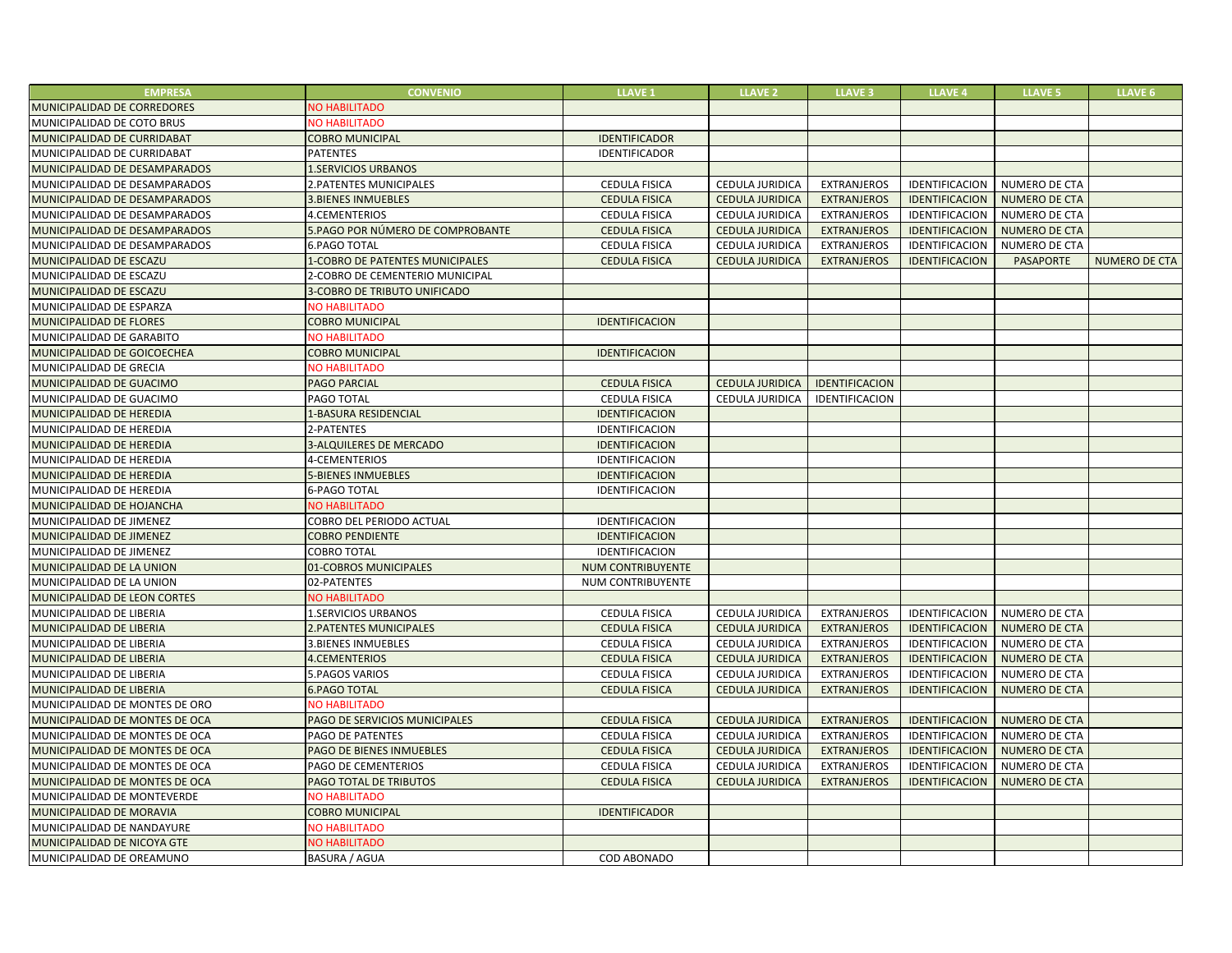| <b>EMPRESA</b>                 | <b>CONVENIO</b>                  | <b>LLAVE 1</b>           | <b>LLAVE 2</b>         | <b>LLAVE 3</b>     | <b>LLAVE 4</b>        | <b>LLAVE 5</b>       | <b>LLAVE 6</b>       |
|--------------------------------|----------------------------------|--------------------------|------------------------|--------------------|-----------------------|----------------------|----------------------|
| MUNICIPALIDAD DE CORREDORES    | NO HABILITADO                    |                          |                        |                    |                       |                      |                      |
| MUNICIPALIDAD DE COTO BRUS     | <b>NO HABILITADO</b>             |                          |                        |                    |                       |                      |                      |
| MUNICIPALIDAD DE CURRIDABAT    | <b>COBRO MUNICIPAL</b>           | <b>IDENTIFICADOR</b>     |                        |                    |                       |                      |                      |
| MUNICIPALIDAD DE CURRIDABAT    | <b>PATENTES</b>                  | IDENTIFICADOR            |                        |                    |                       |                      |                      |
| MUNICIPALIDAD DE DESAMPARADOS  | <b>1.SERVICIOS URBANOS</b>       |                          |                        |                    |                       |                      |                      |
| MUNICIPALIDAD DE DESAMPARADOS  | 2. PATENTES MUNICIPALES          | CEDULA FISICA            | CEDULA JURIDICA        | <b>EXTRANJEROS</b> | IDENTIFICACION        | NUMERO DE CTA        |                      |
| MUNICIPALIDAD DE DESAMPARADOS  | <b>3.BIENES INMUEBLES</b>        | <b>CEDULA FISICA</b>     | <b>CEDULA JURIDICA</b> | <b>EXTRANJEROS</b> | <b>IDENTIFICACION</b> | <b>NUMERO DE CTA</b> |                      |
| MUNICIPALIDAD DE DESAMPARADOS  | 4.CEMENTERIOS                    | <b>CEDULA FISICA</b>     | CEDULA JURIDICA        | <b>EXTRANJEROS</b> | IDENTIFICACION        | <b>NUMERO DE CTA</b> |                      |
| MUNICIPALIDAD DE DESAMPARADOS  | 5.PAGO POR NÚMERO DE COMPROBANTE | <b>CEDULA FISICA</b>     | <b>CEDULA JURIDICA</b> | <b>EXTRANJEROS</b> | IDENTIFICACION        | <b>NUMERO DE CTA</b> |                      |
| MUNICIPALIDAD DE DESAMPARADOS  | <b>6.PAGO TOTAL</b>              | <b>CEDULA FISICA</b>     | <b>CEDULA JURIDICA</b> | <b>EXTRANJEROS</b> | IDENTIFICACION        | <b>NUMERO DE CTA</b> |                      |
| MUNICIPALIDAD DE ESCAZU        | 1-COBRO DE PATENTES MUNICIPALES  | <b>CEDULA FISICA</b>     | <b>CEDULA JURIDICA</b> | <b>EXTRANJEROS</b> | IDENTIFICACION        | <b>PASAPORTE</b>     | <b>NUMERO DE CTA</b> |
| MUNICIPALIDAD DE ESCAZU        | 2-COBRO DE CEMENTERIO MUNICIPAL  |                          |                        |                    |                       |                      |                      |
| MUNICIPALIDAD DE ESCAZU        | 3-COBRO DE TRIBUTO UNIFICADO     |                          |                        |                    |                       |                      |                      |
| MUNICIPALIDAD DE ESPARZA       | <b>NO HABILITADO</b>             |                          |                        |                    |                       |                      |                      |
| MUNICIPALIDAD DE FLORES        | <b>COBRO MUNICIPAL</b>           | <b>IDENTIFICACION</b>    |                        |                    |                       |                      |                      |
| MUNICIPALIDAD DE GARABITO      | <b>NO HABILITADO</b>             |                          |                        |                    |                       |                      |                      |
| MUNICIPALIDAD DE GOICOECHEA    | <b>COBRO MUNICIPAL</b>           | <b>IDENTIFICACION</b>    |                        |                    |                       |                      |                      |
| MUNICIPALIDAD DE GRECIA        | <b>NO HABILITADO</b>             |                          |                        |                    |                       |                      |                      |
| MUNICIPALIDAD DE GUACIMO       | <b>PAGO PARCIAL</b>              | <b>CEDULA FISICA</b>     | <b>CEDULA JURIDICA</b> | IDENTIFICACION     |                       |                      |                      |
| MUNICIPALIDAD DE GUACIMO       | PAGO TOTAL                       | <b>CEDULA FISICA</b>     | CEDULA JURIDICA        | IDENTIFICACION     |                       |                      |                      |
| MUNICIPALIDAD DE HEREDIA       | 1-BASURA RESIDENCIAL             | <b>IDENTIFICACION</b>    |                        |                    |                       |                      |                      |
| MUNICIPALIDAD DE HEREDIA       | 2-PATENTES                       | IDENTIFICACION           |                        |                    |                       |                      |                      |
| MUNICIPALIDAD DE HEREDIA       | 3-ALQUILERES DE MERCADO          | <b>IDENTIFICACION</b>    |                        |                    |                       |                      |                      |
| MUNICIPALIDAD DE HEREDIA       | 4-CEMENTERIOS                    | IDENTIFICACION           |                        |                    |                       |                      |                      |
| MUNICIPALIDAD DE HEREDIA       | <b>5-BIENES INMUEBLES</b>        | <b>IDENTIFICACION</b>    |                        |                    |                       |                      |                      |
| MUNICIPALIDAD DE HEREDIA       | <b>6-PAGO TOTAL</b>              | IDENTIFICACION           |                        |                    |                       |                      |                      |
| MUNICIPALIDAD DE HOJANCHA      | <b>NO HABILITADO</b>             |                          |                        |                    |                       |                      |                      |
| MUNICIPALIDAD DE JIMENEZ       | COBRO DEL PERIODO ACTUAL         | IDENTIFICACION           |                        |                    |                       |                      |                      |
| MUNICIPALIDAD DE JIMENEZ       | <b>COBRO PENDIENTE</b>           | <b>IDENTIFICACION</b>    |                        |                    |                       |                      |                      |
| MUNICIPALIDAD DE JIMENEZ       | <b>COBRO TOTAL</b>               | IDENTIFICACION           |                        |                    |                       |                      |                      |
| MUNICIPALIDAD DE LA UNION      | 01-COBROS MUNICIPALES            | NUM CONTRIBUYENTE        |                        |                    |                       |                      |                      |
| MUNICIPALIDAD DE LA UNION      | 02-PATENTES                      | <b>NUM CONTRIBUYENTE</b> |                        |                    |                       |                      |                      |
| MUNICIPALIDAD DE LEON CORTES   | <b>NO HABILITADO</b>             |                          |                        |                    |                       |                      |                      |
| MUNICIPALIDAD DE LIBERIA       | 1.SERVICIOS URBANOS              | <b>CEDULA FISICA</b>     | CEDULA JURIDICA        | <b>EXTRANJEROS</b> | IDENTIFICACION        | NUMERO DE CTA        |                      |
| MUNICIPALIDAD DE LIBERIA       | 2. PATENTES MUNICIPALES          | <b>CEDULA FISICA</b>     | <b>CEDULA JURIDICA</b> | <b>EXTRANJEROS</b> | <b>IDENTIFICACION</b> | <b>NUMERO DE CTA</b> |                      |
| MUNICIPALIDAD DE LIBERIA       | <b>3.BIENES INMUEBLES</b>        | <b>CEDULA FISICA</b>     | CEDULA JURIDICA        | EXTRANJEROS        | IDENTIFICACION        | NUMERO DE CTA        |                      |
| MUNICIPALIDAD DE LIBERIA       | <b>4.CEMENTERIOS</b>             | <b>CEDULA FISICA</b>     | <b>CEDULA JURIDICA</b> | <b>EXTRANJEROS</b> | <b>IDENTIFICACION</b> | <b>NUMERO DE CTA</b> |                      |
| MUNICIPALIDAD DE LIBERIA       | 5.PAGOS VARIOS                   | <b>CEDULA FISICA</b>     | CEDULA JURIDICA        | <b>EXTRANJEROS</b> | IDENTIFICACION        | NUMERO DE CTA        |                      |
| MUNICIPALIDAD DE LIBERIA       | <b>6.PAGO TOTAL</b>              | <b>CEDULA FISICA</b>     | <b>CEDULA JURIDICA</b> | <b>EXTRANJEROS</b> | <b>IDENTIFICACION</b> | <b>NUMERO DE CTA</b> |                      |
| MUNICIPALIDAD DE MONTES DE ORO | <b>NO HABILITADO</b>             |                          |                        |                    |                       |                      |                      |
| MUNICIPALIDAD DE MONTES DE OCA | PAGO DE SERVICIOS MUNICIPALES    | <b>CEDULA FISICA</b>     | <b>CEDULA JURIDICA</b> | <b>EXTRANJEROS</b> | <b>IDENTIFICACION</b> | <b>NUMERO DE CTA</b> |                      |
| MUNICIPALIDAD DE MONTES DE OCA | PAGO DE PATENTES                 | <b>CEDULA FISICA</b>     | CEDULA JURIDICA        | <b>EXTRANJEROS</b> | IDENTIFICACION        | NUMERO DE CTA        |                      |
| MUNICIPALIDAD DE MONTES DE OCA | PAGO DE BIENES INMUEBLES         | <b>CEDULA FISICA</b>     | <b>CEDULA JURIDICA</b> | <b>EXTRANJEROS</b> | IDENTIFICACION        | <b>NUMERO DE CTA</b> |                      |
| MUNICIPALIDAD DE MONTES DE OCA | PAGO DE CEMENTERIOS              | <b>CEDULA FISICA</b>     | CEDULA JURIDICA        | <b>EXTRANJEROS</b> | IDENTIFICACION        | <b>NUMERO DE CTA</b> |                      |
| MUNICIPALIDAD DE MONTES DE OCA | PAGO TOTAL DE TRIBUTOS           | <b>CEDULA FISICA</b>     | <b>CEDULA JURIDICA</b> | <b>EXTRANJEROS</b> | IDENTIFICACION        | <b>NUMERO DE CTA</b> |                      |
| MUNICIPALIDAD DE MONTEVERDE    | <b>NO HABILITADO</b>             |                          |                        |                    |                       |                      |                      |
| MUNICIPALIDAD DE MORAVIA       | <b>COBRO MUNICIPAL</b>           | <b>IDENTIFICADOR</b>     |                        |                    |                       |                      |                      |
| MUNICIPALIDAD DE NANDAYURE     | <b>NO HABILITADO</b>             |                          |                        |                    |                       |                      |                      |
| MUNICIPALIDAD DE NICOYA GTE    | <b>NO HABILITADO</b>             |                          |                        |                    |                       |                      |                      |
| MUNICIPALIDAD DE OREAMUNO      | <b>BASURA / AGUA</b>             | COD ABONADO              |                        |                    |                       |                      |                      |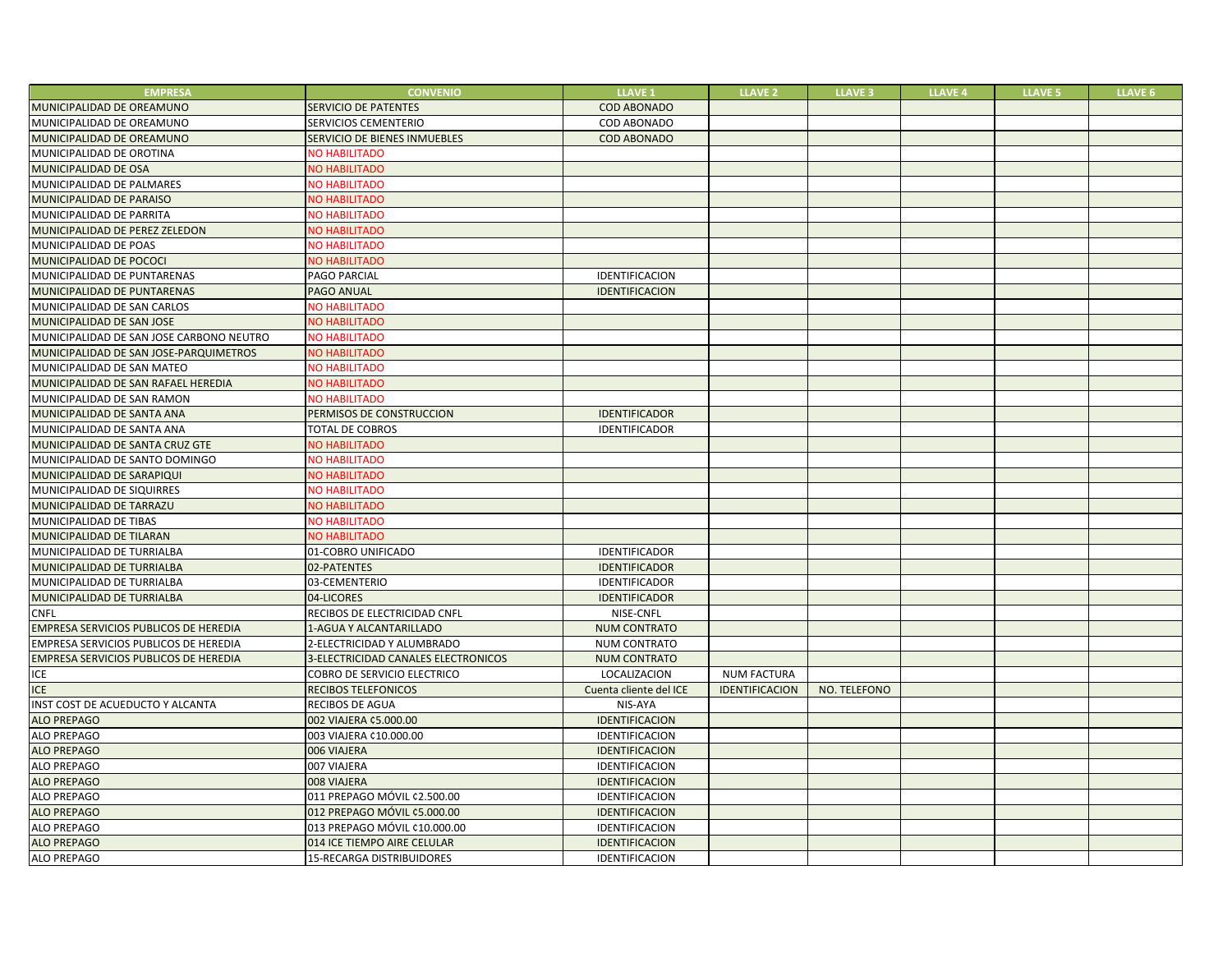| <b>EMPRESA</b>                           | <b>CONVENIO</b>                     | <b>LLAVE 1</b>         | <b>LLAVE 2</b>        | <b>LLAVE 3</b> | <b>LLAVE 4</b> | <b>LLAVE 5</b> | <b>LLAVE 6</b> |
|------------------------------------------|-------------------------------------|------------------------|-----------------------|----------------|----------------|----------------|----------------|
| MUNICIPALIDAD DE OREAMUNO                | <b>SERVICIO DE PATENTES</b>         | <b>COD ABONADO</b>     |                       |                |                |                |                |
| MUNICIPALIDAD DE OREAMUNO                | SERVICIOS CEMENTERIO                | COD ABONADO            |                       |                |                |                |                |
| MUNICIPALIDAD DE OREAMUNO                | SERVICIO DE BIENES INMUEBLES        | <b>COD ABONADO</b>     |                       |                |                |                |                |
| MUNICIPALIDAD DE OROTINA                 | <b>NO HABILITADO</b>                |                        |                       |                |                |                |                |
| MUNICIPALIDAD DE OSA                     | <b>NO HABILITADO</b>                |                        |                       |                |                |                |                |
| MUNICIPALIDAD DE PALMARES                | <b>NO HABILITADO</b>                |                        |                       |                |                |                |                |
| MUNICIPALIDAD DE PARAISO                 | <b>VO HABILITADO</b>                |                        |                       |                |                |                |                |
| MUNICIPALIDAD DE PARRITA                 | <b>NO HABILITADO</b>                |                        |                       |                |                |                |                |
| MUNICIPALIDAD DE PEREZ ZELEDON           | <b>VO HABILITADO</b>                |                        |                       |                |                |                |                |
| MUNICIPALIDAD DE POAS                    | <b>VO HABILITADO</b>                |                        |                       |                |                |                |                |
| MUNICIPALIDAD DE POCOCI                  | <b>VO HABILITADO</b>                |                        |                       |                |                |                |                |
| MUNICIPALIDAD DE PUNTARENAS              | PAGO PARCIAL                        | IDENTIFICACION         |                       |                |                |                |                |
| MUNICIPALIDAD DE PUNTARENAS              | <b>PAGO ANUAL</b>                   | <b>IDENTIFICACION</b>  |                       |                |                |                |                |
| MUNICIPALIDAD DE SAN CARLOS              | <b>VO HABILITADO</b>                |                        |                       |                |                |                |                |
| MUNICIPALIDAD DE SAN JOSE                | <b>NO HABILITADO</b>                |                        |                       |                |                |                |                |
| MUNICIPALIDAD DE SAN JOSE CARBONO NEUTRO | <b>NO HABILITADO</b>                |                        |                       |                |                |                |                |
| MUNICIPALIDAD DE SAN JOSE-PARQUIMETROS   | <b>NO HABILITADO</b>                |                        |                       |                |                |                |                |
| MUNICIPALIDAD DE SAN MATEO               | <b>NO HABILITADO</b>                |                        |                       |                |                |                |                |
| MUNICIPALIDAD DE SAN RAFAEL HEREDIA      | <b>NO HABILITADO</b>                |                        |                       |                |                |                |                |
| MUNICIPALIDAD DE SAN RAMON               | <b>NO HABILITADO</b>                |                        |                       |                |                |                |                |
| MUNICIPALIDAD DE SANTA ANA               | PERMISOS DE CONSTRUCCION            | <b>IDENTIFICADOR</b>   |                       |                |                |                |                |
| MUNICIPALIDAD DE SANTA ANA               | <b>TOTAL DE COBROS</b>              | IDENTIFICADOR          |                       |                |                |                |                |
| MUNICIPALIDAD DE SANTA CRUZ GTE          | <b>VO HABILITADO</b>                |                        |                       |                |                |                |                |
| MUNICIPALIDAD DE SANTO DOMINGO           | <b>NO HABILITADO</b>                |                        |                       |                |                |                |                |
| MUNICIPALIDAD DE SARAPIQUI               | <b>VO HABILITADO</b>                |                        |                       |                |                |                |                |
| MUNICIPALIDAD DE SIQUIRRES               | <b>VO HABILITADO</b>                |                        |                       |                |                |                |                |
| MUNICIPALIDAD DE TARRAZU                 | <b>VO HABILITADO</b>                |                        |                       |                |                |                |                |
| MUNICIPALIDAD DE TIBAS                   | <b>NO HABILITADO</b>                |                        |                       |                |                |                |                |
| MUNICIPALIDAD DE TILARAN                 | <b>NO HABILITADO</b>                |                        |                       |                |                |                |                |
| MUNICIPALIDAD DE TURRIALBA               | 01-COBRO UNIFICADO                  | IDENTIFICADOR          |                       |                |                |                |                |
| MUNICIPALIDAD DE TURRIALBA               | 02-PATENTES                         | <b>IDENTIFICADOR</b>   |                       |                |                |                |                |
| MUNICIPALIDAD DE TURRIALBA               | 03-CEMENTERIO                       | IDENTIFICADOR          |                       |                |                |                |                |
| MUNICIPALIDAD DE TURRIALBA               | 04-LICORES                          | <b>IDENTIFICADOR</b>   |                       |                |                |                |                |
| <b>CNFL</b>                              | RECIBOS DE ELECTRICIDAD CNFL        | NISE-CNFL              |                       |                |                |                |                |
| EMPRESA SERVICIOS PUBLICOS DE HEREDIA    | 1-AGUA Y ALCANTARILLADO             | <b>NUM CONTRATO</b>    |                       |                |                |                |                |
| EMPRESA SERVICIOS PUBLICOS DE HEREDIA    | 2-ELECTRICIDAD Y ALUMBRADO          | <b>NUM CONTRATO</b>    |                       |                |                |                |                |
| EMPRESA SERVICIOS PUBLICOS DE HEREDIA    | 3-ELECTRICIDAD CANALES ELECTRONICOS | <b>NUM CONTRATO</b>    |                       |                |                |                |                |
| ICE                                      | <b>COBRO DE SERVICIO ELECTRICO</b>  | LOCALIZACION           | <b>NUM FACTURA</b>    |                |                |                |                |
| <b>ICE</b>                               | <b>RECIBOS TELEFONICOS</b>          | Cuenta cliente del ICE | <b>IDENTIFICACION</b> | NO. TELEFONO   |                |                |                |
| INST COST DE ACUEDUCTO Y ALCANTA         | <b>RECIBOS DE AGUA</b>              | NIS-AYA                |                       |                |                |                |                |
| <b>ALO PREPAGO</b>                       | 002 VIAJERA ¢5.000.00               | IDENTIFICACION         |                       |                |                |                |                |
| <b>ALO PREPAGO</b>                       | 003 VIAJERA ¢10.000.00              | IDENTIFICACION         |                       |                |                |                |                |
| <b>ALO PREPAGO</b>                       | 006 VIAJERA                         | IDENTIFICACION         |                       |                |                |                |                |
| ALO PREPAGO                              | 007 VIAJERA                         | IDENTIFICACION         |                       |                |                |                |                |
| <b>ALO PREPAGO</b>                       | 008 VIAJERA                         | IDENTIFICACION         |                       |                |                |                |                |
| <b>ALO PREPAGO</b>                       | 011 PREPAGO MÓVIL ¢2.500.00         | <b>IDENTIFICACION</b>  |                       |                |                |                |                |
| <b>ALO PREPAGO</b>                       | 012 PREPAGO MÓVIL ¢5.000.00         | IDENTIFICACION         |                       |                |                |                |                |
| <b>ALO PREPAGO</b>                       | 013 PREPAGO MÓVIL ¢10.000.00        | IDENTIFICACION         |                       |                |                |                |                |
| <b>ALO PREPAGO</b>                       | 014 ICE TIEMPO AIRE CELULAR         | IDENTIFICACION         |                       |                |                |                |                |
| <b>ALO PREPAGO</b>                       | <b>15-RECARGA DISTRIBUIDORES</b>    | IDENTIFICACION         |                       |                |                |                |                |